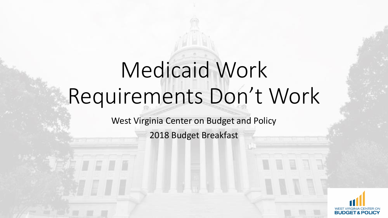# Medicaid Work Requirements Don't Work

West Virginia Center on Budget and Policy

2018 Budget Breakfast

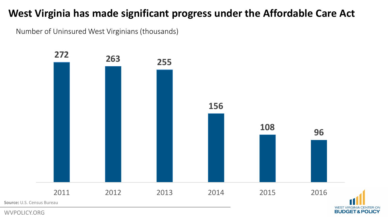## **West Virginia has made significant progress under the Affordable Care Act**

Number of Uninsured West Virginians (thousands)



**BUDGET&POLICY**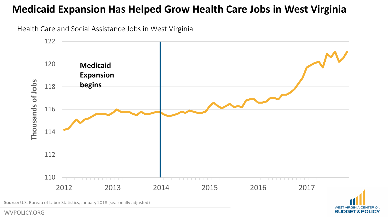### **Medicaid Expansion Has Helped Grow Health Care Jobs in West Virginia**

Health Care and Social Assistance Jobs in West Virginia



**WEST VIRGIN** 

**BUDGET & POLICY** 

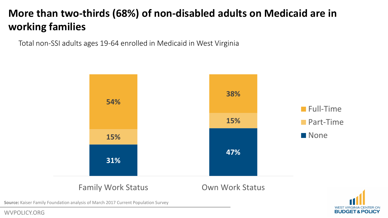# **More than two-thirds (68%) of non-disabled adults on Medicaid are in working families**

Total non-SSI adults ages 19-64 enrolled in Medicaid in West Virginia



#### Family Work Status **Camily Work Status** Own Work Status



**Source**: Kaiser Family Foundation analysis of March 2017 Current Population Survey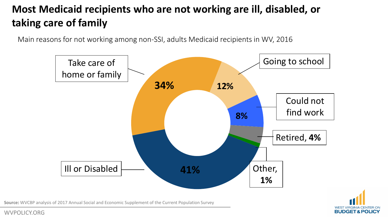# **Most Medicaid recipients who are not working are ill, disabled, or taking care of family**

Main reasons for not working among non-SSI, adults Medicaid recipients in WV, 2016





**Source**: WVCBP analysis of 2017 Annual Social and Economic Supplement of the Current Population Survey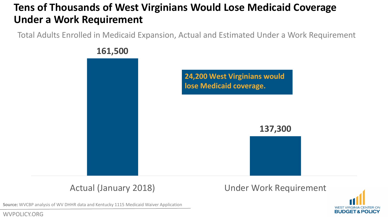# **Tens of Thousands of West Virginians Would Lose Medicaid Coverage Under a Work Requirement**

Total Adults Enrolled in Medicaid Expansion, Actual and Estimated Under a Work Requirement



Actual (January 2018) Under Work Requirement



**Source**: WVCBP analysis of WV DHHR data and Kentucky 1115 Medicaid Waiver Application